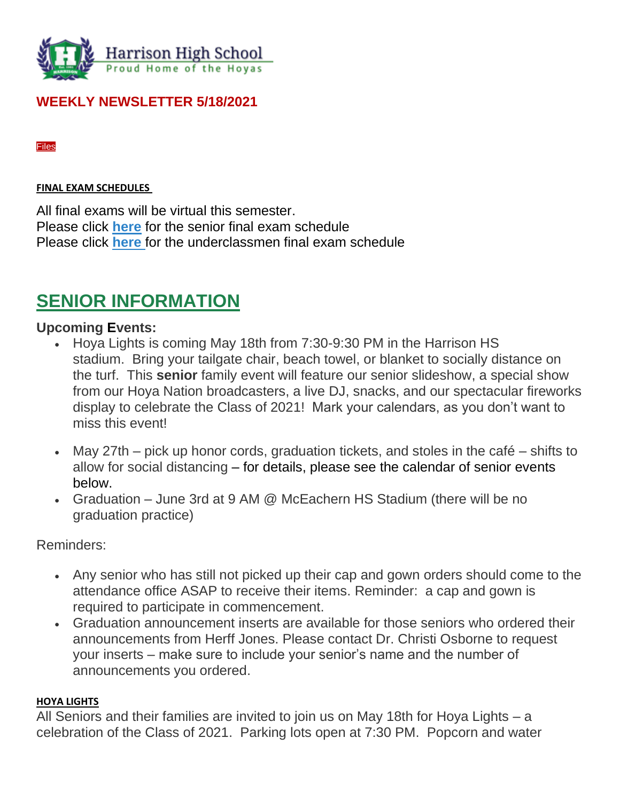

### **WEEKLY NEWSLETTER 5/18/2021**

[Files](https://ctlsparent.cobbk12.org/feeds/7604662?key=DIf_3FD5u5fHbR81V2DAMA&token=Ji4qcPg_c22GXMByjVWbuw#feed_7604662_extras)

#### **FINAL EXAM SCHEDULES**

All final exams will be virtual this semester. Please click **[here](https://tb2cdn.schoolwebmasters.com/accnt_42975/site_42976/Documents/Senior-Final-Exam-Schedule.pdf)** for the senior final exam schedule Please click **[here](https://tb2cdn.schoolwebmasters.com/accnt_42975/site_42976/Documents/Underclassmen-Final-Exam-Schedule.pdf)** for the underclassmen final exam schedule

## **SENIOR INFORMATION**

#### **Upcoming Events:**

- Hoya Lights is coming May 18th from 7:30-9:30 PM in the Harrison HS stadium. Bring your tailgate chair, beach towel, or blanket to socially distance on the turf. This **senior** family event will feature our senior slideshow, a special show from our Hoya Nation broadcasters, a live DJ, snacks, and our spectacular fireworks display to celebrate the Class of 2021! Mark your calendars, as you don't want to miss this event!
- May 27th pick up honor cords, graduation tickets, and stoles in the café shifts to allow for social distancing – for details, please see the calendar of senior events below.
- Graduation June 3rd at 9 AM @ McEachern HS Stadium (there will be no graduation practice)

Reminders:

- Any senior who has still not picked up their cap and gown orders should come to the attendance office ASAP to receive their items. Reminder: a cap and gown is required to participate in commencement.
- Graduation announcement inserts are available for those seniors who ordered their announcements from Herff Jones. Please contact Dr. Christi Osborne to request your inserts – make sure to include your senior's name and the number of announcements you ordered.

#### **HOYA LIGHTS**

All Seniors and their families are invited to join us on May 18th for Hoya Lights – a celebration of the Class of 2021. Parking lots open at 7:30 PM. Popcorn and water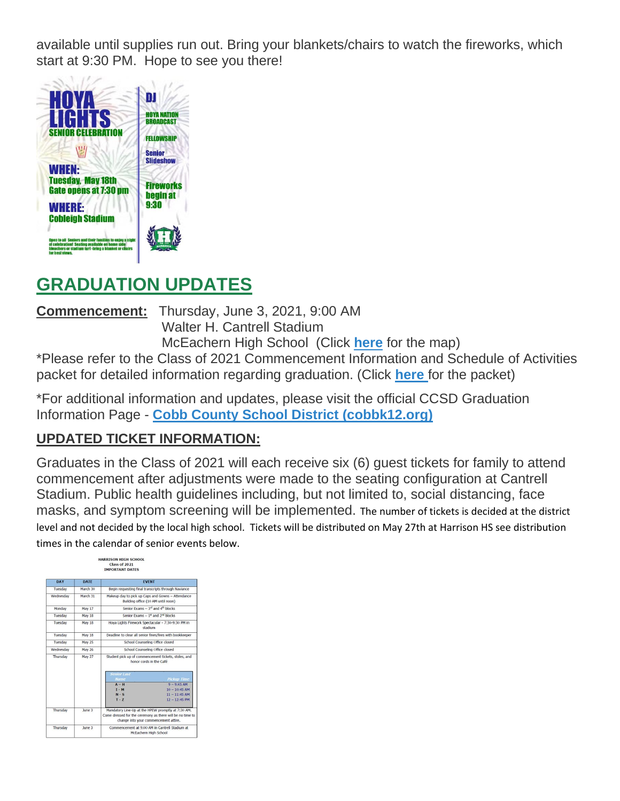available until supplies run out. Bring your blankets/chairs to watch the fireworks, which start at 9:30 PM. Hope to see you there!



## **GRADUATION UPDATES**

**Commencement:** Thursday, June 3, 2021, 9:00 AM Walter H. Cantrell Stadium

McEachern High School (Click **[here](https://tb2cdn.schoolwebmasters.com/accnt_42975/site_42976/Documents/Graduation-Map%60.pdf)** for the map)

\*Please refer to the Class of 2021 Commencement Information and Schedule of Activities packet for detailed information regarding graduation. (Click **[here](https://tb2cdn.schoolwebmasters.com/accnt_42975/site_42976/Documents/Commencement-Info-Packet.pdf)** for the packet)

\*For additional information and updates, please visit the official CCSD Graduation Information Page - **[Cobb County School District \(cobbk12.org\)](https://www.cobbk12.org/page/6862/graduation-commencement-info)**

### **UPDATED TICKET INFORMATION:**

Graduates in the Class of 2021 will each receive six (6) guest tickets for family to attend commencement after adjustments were made to the seating configuration at Cantrell Stadium. Public health guidelines including, but not limited to, social distancing, face masks, and symptom screening will be implemented. The number of tickets is decided at the district level and not decided by the local high school. Tickets will be distributed on May 27th at Harrison HS see distribution times in the calendar of senior events below.

| <b>DAY</b> | <b>DATE</b>   | <b>EVENT</b>                                                                                                    |                                                     |  |  |  |
|------------|---------------|-----------------------------------------------------------------------------------------------------------------|-----------------------------------------------------|--|--|--|
| Tuesday    | March 30      |                                                                                                                 | Begin requesting final transcripts through Naviance |  |  |  |
| Wednesdav  | March 31      | Makeup day to pick up Caps and Gowns - Attendance<br>Building office (10 AM until noon)                         |                                                     |  |  |  |
| Monday     | May 17        | Senior Exams - 3 <sup>rd</sup> and 4 <sup>th</sup> blocks                                                       |                                                     |  |  |  |
| Tuesday    | May 18        | Senior Exams - 1 <sup>st</sup> and 2 <sup>nd</sup> blocks                                                       |                                                     |  |  |  |
| Tuesday    | May 18        | Hova Lights Firework Spectacular - 7:30-9:30 PM in<br>stadium                                                   |                                                     |  |  |  |
| Tuesday    | May 18        | Deadline to clear all senior fines/fees with bookkeeper                                                         |                                                     |  |  |  |
| Tuesday    | <b>May 25</b> | School Counseling Office closed                                                                                 |                                                     |  |  |  |
| Wednesday  | <b>May 26</b> | School Counseling Office closed                                                                                 |                                                     |  |  |  |
| Thursday   | May 27        | Student pick up of commencement tickets, stoles, and<br>honor cords in the Café                                 |                                                     |  |  |  |
|            |               | <b>Senior Last</b>                                                                                              |                                                     |  |  |  |
|            |               | <b>Name</b>                                                                                                     | <b>Pickup Time</b>                                  |  |  |  |
|            |               | $A - H$<br>$I - M$                                                                                              | $9 - 9:45$ AM<br>$10 - 10:45$ AM                    |  |  |  |
|            |               | $N-S$                                                                                                           | $11 - 11:45$ AM                                     |  |  |  |
|            |               | $T - Z$                                                                                                         | $12 - 12:45$ PM                                     |  |  |  |
|            | June 3        |                                                                                                                 |                                                     |  |  |  |
| Thursday   |               | Mandatory Line-Up at the HPEW promptly at 7:30 AM.<br>Come dressed for the ceremony as there will be no time to |                                                     |  |  |  |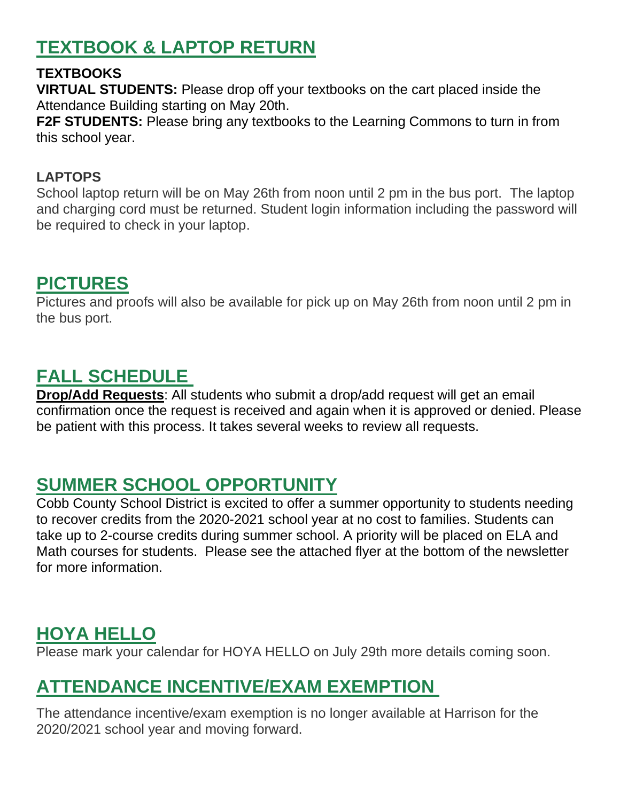# **TEXTBOOK & LAPTOP RETURN**

### **TEXTBOOKS**

**VIRTUAL STUDENTS:** Please drop off your textbooks on the cart placed inside the Attendance Building starting on May 20th.

**F2F STUDENTS:** Please bring any textbooks to the Learning Commons to turn in from this school year.

#### **LAPTOPS**

School laptop return will be on May 26th from noon until 2 pm in the bus port. The laptop and charging cord must be returned. Student login information including the password will be required to check in your laptop.

## **PICTURES**

Pictures and proofs will also be available for pick up on May 26th from noon until 2 pm in the bus port.

## **FALL SCHEDULE**

**Drop/Add Requests**: All students who submit a drop/add request will get an email confirmation once the request is received and again when it is approved or denied. Please be patient with this process. It takes several weeks to review all requests.

## **SUMMER SCHOOL OPPORTUNITY**

Cobb County School District is excited to offer a summer opportunity to students needing to recover credits from the 2020-2021 school year at no cost to families. Students can take up to 2-course credits during summer school. A priority will be placed on ELA and Math courses for students. Please see the attached flyer at the bottom of the newsletter for more information.

## **HOYA HELLO**

Please mark your calendar for HOYA HELLO on July 29th more details coming soon.

# **ATTENDANCE INCENTIVE/EXAM EXEMPTION**

The attendance incentive/exam exemption is no longer available at Harrison for the 2020/2021 school year and moving forward.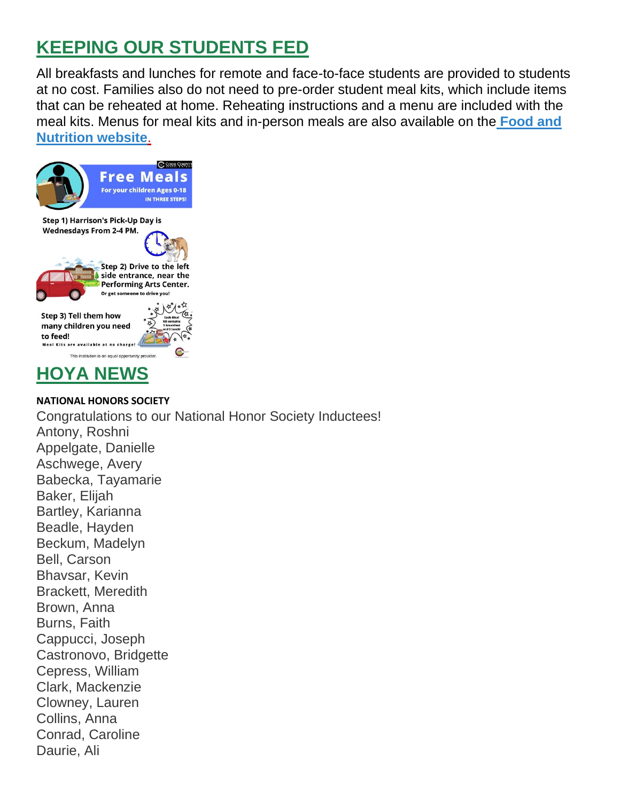# **KEEPING OUR STUDENTS FED**

All breakfasts and lunches for remote and face-to-face students are provided to students at no cost. Families also do not need to pre-order student meal kits, which include items that can be reheated at home. Reheating instructions and a menu are included with the meal kits. Menus for meal kits and in-person meals are also available on th[e](http://info.cobbk12.org/centraloffice/foodservices/indexMenus.aspx) **[Food and](http://info.cobbk12.org/centraloffice/foodservices/indexMenus.aspx)  [Nutrition website](http://info.cobbk12.org/centraloffice/foodservices/indexMenus.aspx)**[.](http://info.cobbk12.org/centraloffice/foodservices/indexMenus.aspx)





Daurie, Ali

**NATIONAL HONORS SOCIETY**  Congratulations to our National Honor Society Inductees! Antony, Roshni Appelgate, Danielle Aschwege, Avery Babecka, Tayamarie Baker, Elijah Bartley, Karianna Beadle, Hayden Beckum, Madelyn Bell, Carson Bhavsar, Kevin Brackett, Meredith Brown, Anna Burns, Faith Cappucci, Joseph Castronovo, Bridgette Cepress, William Clark, Mackenzie Clowney, Lauren Collins, Anna Conrad, Caroline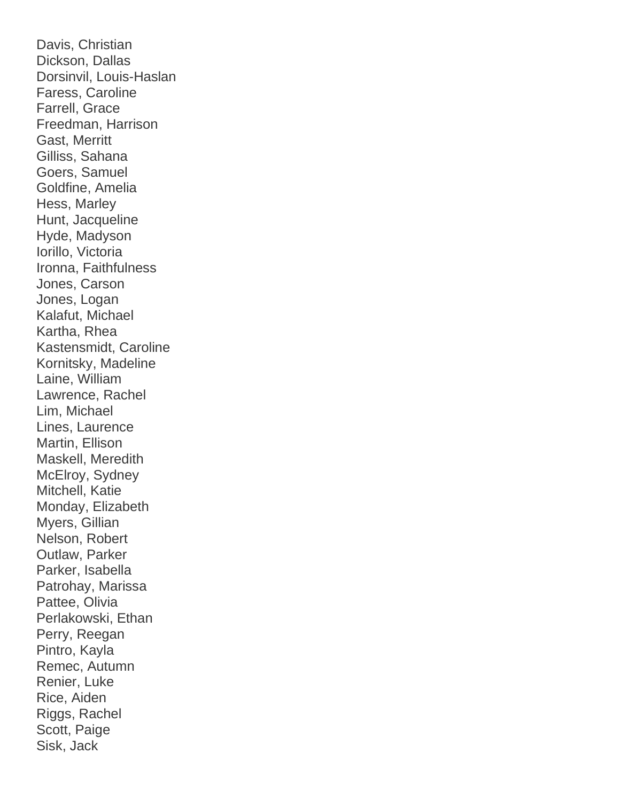Davis, Christian Dickson, Dallas Dorsinvil, Louis-Haslan Faress, Caroline Farrell, Grace Freedman, Harrison Gast, Merritt Gilliss, Sahana Goers, Samuel Goldfine, Amelia Hess, Marley Hunt, Jacqueline Hyde, Madyson Iorillo, Victoria Ironna, Faithfulness Jones, Carson Jones, Logan Kalafut, Michael Kartha, Rhea Kastensmidt, Caroline Kornitsky, Madeline Laine, William Lawrence, Rachel Lim, Michael Lines, Laurence Martin, Ellison Maskell, Meredith McElroy, Sydney Mitchell, Katie Monday, Elizabeth Myers, Gillian Nelson, Robert Outlaw, Parker Parker, Isabella Patrohay, Marissa Pattee, Olivia Perlakowski, Ethan Perry, Reegan Pintro, Kayla Remec, Autumn Renier, Luke Rice, Aiden Riggs, Rachel Scott, Paige Sisk, Jack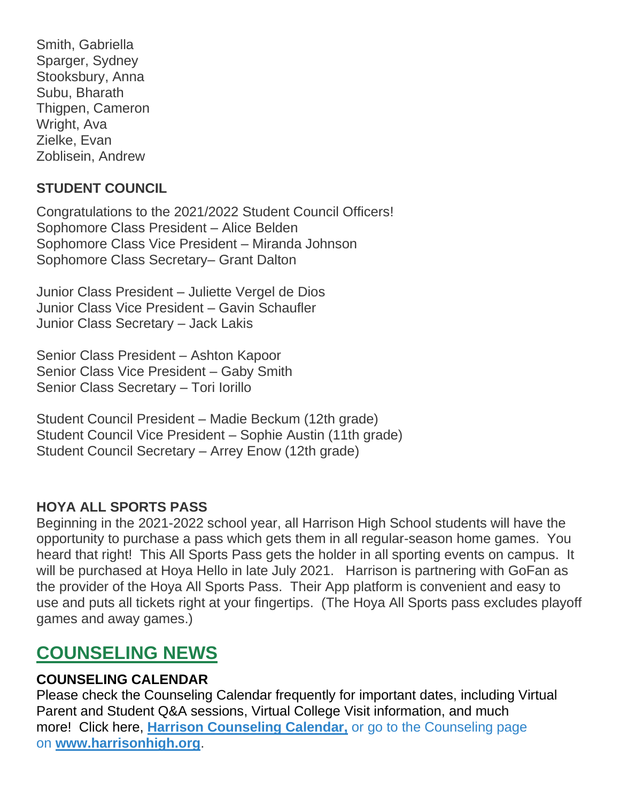Smith, Gabriella Sparger, Sydney Stooksbury, Anna Subu, Bharath Thigpen, Cameron Wright, Ava Zielke, Evan Zoblisein, Andrew

#### **STUDENT COUNCIL**

Congratulations to the 2021/2022 Student Council Officers! Sophomore Class President – Alice Belden Sophomore Class Vice President – Miranda Johnson Sophomore Class Secretary– Grant Dalton

Junior Class President – Juliette Vergel de Dios Junior Class Vice President – Gavin Schaufler Junior Class Secretary – Jack Lakis

Senior Class President – Ashton Kapoor Senior Class Vice President – Gaby Smith Senior Class Secretary – Tori Iorillo

Student Council President – Madie Beckum (12th grade) Student Council Vice President – Sophie Austin (11th grade) Student Council Secretary – Arrey Enow (12th grade)

#### **HOYA ALL SPORTS PASS**

Beginning in the 2021-2022 school year, all Harrison High School students will have the opportunity to purchase a pass which gets them in all regular-season home games. You heard that right! This All Sports Pass gets the holder in all sporting events on campus. It will be purchased at Hoya Hello in late July 2021. Harrison is partnering with GoFan as the provider of the Hoya All Sports Pass. Their App platform is convenient and easy to use and puts all tickets right at your fingertips. (The Hoya All Sports pass excludes playoff games and away games.)

## **COUNSELING NEWS**

#### **COUNSELING CALENDAR**

Please check the Counseling Calendar frequently for important dates, including Virtual Parent and Student Q&A sessions, Virtual College Visit information, and much more! Click here, **[Harrison Counseling Calendar,](https://calendar.google.com/calendar/embed?src=tasr4q5spailsj1itftjdtn6mk%40group.calendar.google.com&ctz=America%2FNew_York)** or go to the Counseling page on **[www.harrisonhigh.org](http://www.harrisonhigh.org/)**.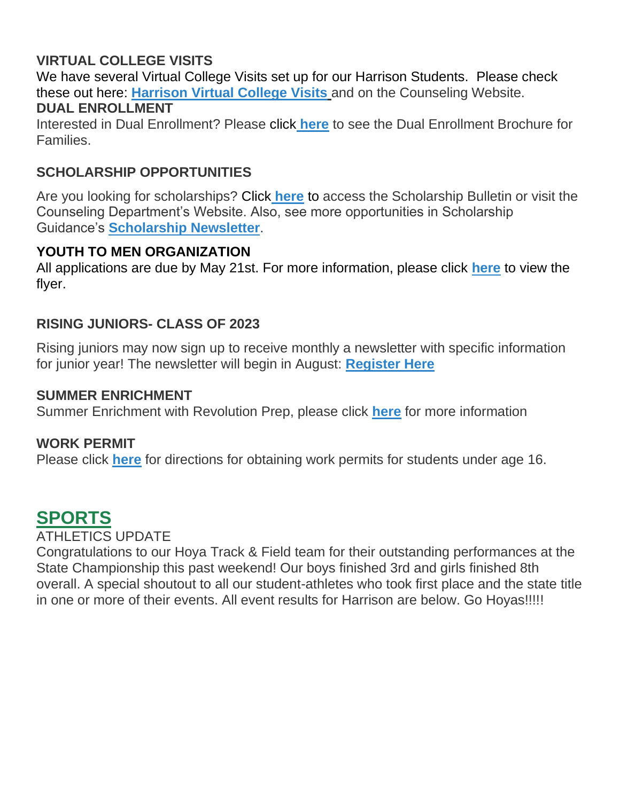#### **VIRTUAL COLLEGE VISITS**

We have several Virtual College Visits set up for our Harrison Students. Please check these out here: **[Harrison Virtual College Visits](https://cobbk12org-my.sharepoint.com/:x:/g/personal/leanna_kor_cobbk12_org/EWP6BGgLdCBOvhv5RDRuCVwBqHA2jXXmnAUqr7hXgxEU7w?rtime=t-E10MJN2Eg)** and on the Counseling Website.

#### **DUAL ENROLLMENT**

Interested in Dual Enrollment? Please click **[here](https://drive.google.com/file/d/1eUb30z5062S_msnROjXY7DklX_dBlHKb/view)** to see the Dual Enrollment Brochure for Families.

#### **SCHOLARSHIP OPPORTUNITIES**

Are you looking for scholarships? Click **[here](https://tb2cdn.schoolwebmasters.com/accnt_42975/site_42976/Documents/Scholarship-Bulletin.pdf)** to access the Scholarship Bulletin or visit the Counseling Department's Website. Also, see more opportunities in Scholarship Guidance's **Scholarship Newsletter**.

#### **YOUTH TO MEN ORGANIZATION**

All applications are due by May 21st. For more information, please click **[here](https://drive.google.com/file/d/1zh9xxvoCvg4xhR8I2A2aeAF-TeYfsXWy/view?usp=sharing)** to view the flyer.

#### **RISING JUNIORS- CLASS OF 2023**

Rising juniors may now sign up to receive monthly a newsletter with specific information for junior year! The newsletter will begin in August: **[Register Here](https://docs.google.com/forms/d/e/1FAIpQLSe63bwc5odDeTiyesWKkRKgMK6rhuXqBOjW3nPR8ISgRI6ShA/viewform)**

#### **SUMMER ENRICHMENT**

Summer Enrichment with Revolution Prep, please click **[here](https://cobbk12org-my.sharepoint.com/:w:/g/personal/mandy_sitten_cobbk12_org/Ebmpw1a2cRNNk7yGTHDMe6EBtAgH_iVzdW18NMHQsZ63yg?e=PWdDyp)** for more information

#### **WORK PERMIT**

Please click **[here](https://drive.google.com/file/d/1VpzJkrjAJ1-F2Sry0BHyvvfT6NFuad16/view?usp=sharing)** for directions for obtaining work permits for students under age 16.

## **SPORTS**

### ATHLETICS UPDATE

Congratulations to our Hoya Track & Field team for their outstanding performances at the State Championship this past weekend! Our boys finished 3rd and girls finished 8th overall. A special shoutout to all our student-athletes who took first place and the state title in one or more of their events. All event results for Harrison are below. Go Hoyas!!!!!